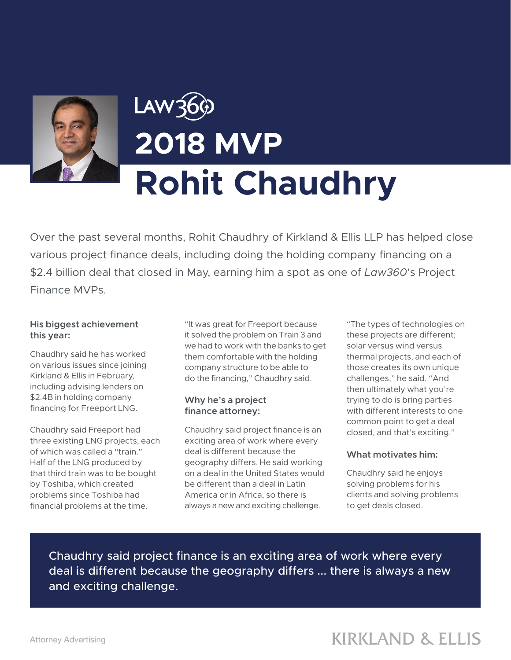

# Law360 **2018 MVP Rohit Chaudhry**

Over the past several months, Rohit Chaudhry of Kirkland & Ellis LLP has helped close various project finance deals, including doing the holding company financing on a \$2.4 billion deal that closed in May, earning him a spot as one of *Law360*'s Project Finance MVPs.

#### **His biggest achievement this year:**

Chaudhry said he has worked on various issues since joining Kirkland & Ellis in February, including advising lenders on \$2.4B in holding company financing for Freeport LNG.

Chaudhry said Freeport had three existing LNG projects, each of which was called a "train." Half of the LNG produced by that third train was to be bought by Toshiba, which created problems since Toshiba had financial problems at the time.

"It was great for Freeport because it solved the problem on Train 3 and we had to work with the banks to get them comfortable with the holding company structure to be able to do the financing," Chaudhry said.

#### **Why he's a project finance attorney:**

Chaudhry said project finance is an exciting area of work where every deal is different because the geography differs. He said working on a deal in the United States would be different than a deal in Latin America or in Africa, so there is always a new and exciting challenge.

"The types of technologies on these projects are different; solar versus wind versus thermal projects, and each of those creates its own unique challenges," he said. "And then ultimately what you're trying to do is bring parties with different interests to one common point to get a deal closed, and that's exciting."

#### **What motivates him:**

Chaudhry said he enjoys solving problems for his clients and solving problems to get deals closed.

Chaudhry said project finance is an exciting area of work where every deal is different because the geography differs ... there is always a new and exciting challenge.

## **KIRKLAND & ELLIS**